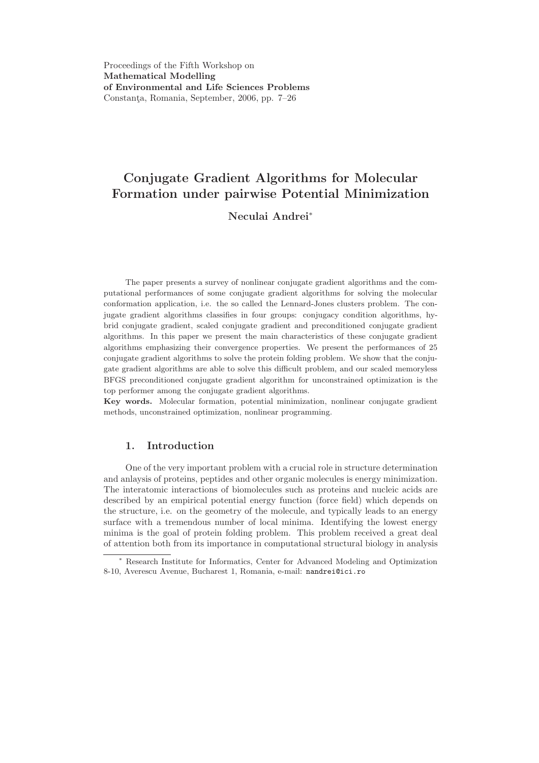Proceedings of the Fifth Workshop on Mathematical Modelling of Environmental and Life Sciences Problems Constanța, Romania, September, 2006, pp. 7–26

# Conjugate Gradient Algorithms for Molecular Formation under pairwise Potential Minimization

## Neculai Andrei<sup>∗</sup>

The paper presents a survey of nonlinear conjugate gradient algorithms and the computational performances of some conjugate gradient algorithms for solving the molecular conformation application, i.e. the so called the Lennard-Jones clusters problem. The conjugate gradient algorithms classifies in four groups: conjugacy condition algorithms, hybrid conjugate gradient, scaled conjugate gradient and preconditioned conjugate gradient algorithms. In this paper we present the main characteristics of these conjugate gradient algorithms emphasizing their convergence properties. We present the performances of 25 conjugate gradient algorithms to solve the protein folding problem. We show that the conjugate gradient algorithms are able to solve this difficult problem, and our scaled memoryless BFGS preconditioned conjugate gradient algorithm for unconstrained optimization is the top performer among the conjugate gradient algorithms.

Key words. Molecular formation, potential minimization, nonlinear conjugate gradient methods, unconstrained optimization, nonlinear programming.

### 1. Introduction

One of the very important problem with a crucial role in structure determination and anlaysis of proteins, peptides and other organic molecules is energy minimization. The interatomic interactions of biomolecules such as proteins and nucleic acids are described by an empirical potential energy function (force field) which depends on the structure, i.e. on the geometry of the molecule, and typically leads to an energy surface with a tremendous number of local minima. Identifying the lowest energy minima is the goal of protein folding problem. This problem received a great deal of attention both from its importance in computational structural biology in analysis

<sup>∗</sup> Research Institute for Informatics, Center for Advanced Modeling and Optimization 8-10, Averescu Avenue, Bucharest 1, Romania, e-mail: nandrei@ici.ro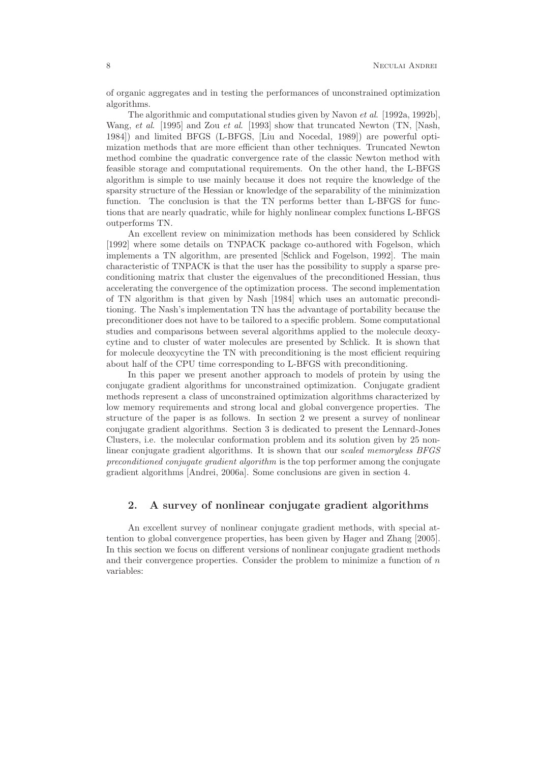of organic aggregates and in testing the performances of unconstrained optimization algorithms.

The algorithmic and computational studies given by Navon et al. [1992a, 1992b], Wang, et al. [1995] and Zou et al. [1993] show that truncated Newton (TN, [Nash, 1984]) and limited BFGS (L-BFGS, [Liu and Nocedal, 1989]) are powerful optimization methods that are more efficient than other techniques. Truncated Newton method combine the quadratic convergence rate of the classic Newton method with feasible storage and computational requirements. On the other hand, the L-BFGS algorithm is simple to use mainly because it does not require the knowledge of the sparsity structure of the Hessian or knowledge of the separability of the minimization function. The conclusion is that the TN performs better than L-BFGS for functions that are nearly quadratic, while for highly nonlinear complex functions L-BFGS outperforms TN.

An excellent review on minimization methods has been considered by Schlick [1992] where some details on TNPACK package co-authored with Fogelson, which implements a TN algorithm, are presented [Schlick and Fogelson, 1992]. The main characteristic of TNPACK is that the user has the possibility to supply a sparse preconditioning matrix that cluster the eigenvalues of the preconditioned Hessian, thus accelerating the convergence of the optimization process. The second implementation of TN algorithm is that given by Nash [1984] which uses an automatic preconditioning. The Nash's implementation TN has the advantage of portability because the preconditioner does not have to be tailored to a specific problem. Some computational studies and comparisons between several algorithms applied to the molecule deoxycytine and to cluster of water molecules are presented by Schlick. It is shown that for molecule deoxycytine the TN with preconditioning is the most efficient requiring about half of the CPU time corresponding to L-BFGS with preconditioning.

In this paper we present another approach to models of protein by using the conjugate gradient algorithms for unconstrained optimization. Conjugate gradient methods represent a class of unconstrained optimization algorithms characterized by low memory requirements and strong local and global convergence properties. The structure of the paper is as follows. In section 2 we present a survey of nonlinear conjugate gradient algorithms. Section 3 is dedicated to present the Lennard-Jones Clusters, i.e. the molecular conformation problem and its solution given by 25 nonlinear conjugate gradient algorithms. It is shown that our scaled memoryless BFGS preconditioned conjugate gradient algorithm is the top performer among the conjugate gradient algorithms [Andrei, 2006a]. Some conclusions are given in section 4.

#### 2. A survey of nonlinear conjugate gradient algorithms

An excellent survey of nonlinear conjugate gradient methods, with special attention to global convergence properties, has been given by Hager and Zhang [2005]. In this section we focus on different versions of nonlinear conjugate gradient methods and their convergence properties. Consider the problem to minimize a function of  $n$ variables: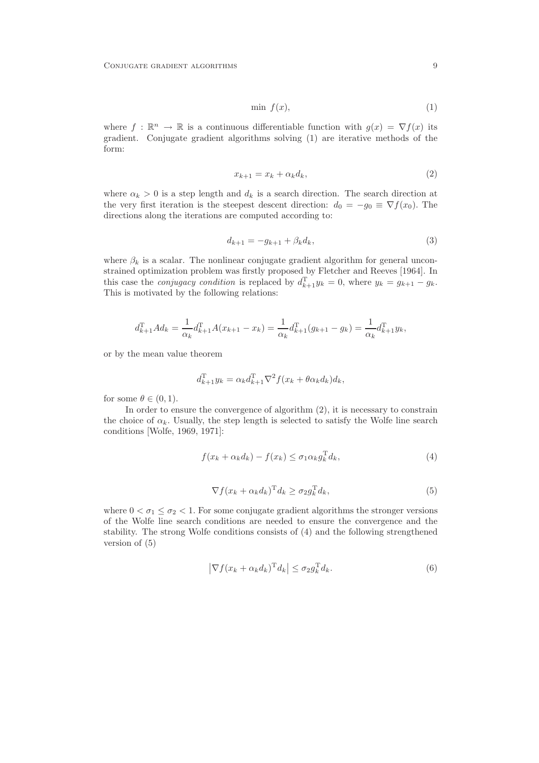$$
\min f(x),\tag{1}
$$

where  $f : \mathbb{R}^n \to \mathbb{R}$  is a continuous differentiable function with  $g(x) = \nabla f(x)$  its gradient. Conjugate gradient algorithms solving (1) are iterative methods of the form:

$$
x_{k+1} = x_k + \alpha_k d_k, \tag{2}
$$

where  $\alpha_k > 0$  is a step length and  $d_k$  is a search direction. The search direction at the very first iteration is the steepest descent direction:  $d_0 = -g_0 \equiv \nabla f(x_0)$ . The directions along the iterations are computed according to:

$$
d_{k+1} = -g_{k+1} + \beta_k d_k, \tag{3}
$$

where  $\beta_k$  is a scalar. The nonlinear conjugate gradient algorithm for general unconstrained optimization problem was firstly proposed by Fletcher and Reeves [1964]. In this case the *conjugacy condition* is replaced by  $d_{k+1}^{\mathrm{T}}y_k = 0$ , where  $y_k = g_{k+1} - g_k$ . This is motivated by the following relations:

$$
d_{k+1}^{\mathrm{T}} A d_k = \frac{1}{\alpha_k} d_{k+1}^{\mathrm{T}} A (x_{k+1} - x_k) = \frac{1}{\alpha_k} d_{k+1}^{\mathrm{T}} (g_{k+1} - g_k) = \frac{1}{\alpha_k} d_{k+1}^{\mathrm{T}} y_k,
$$

or by the mean value theorem

$$
d_{k+1}^{\mathrm{T}}y_k = \alpha_k d_{k+1}^{\mathrm{T}} \nabla^2 f(x_k + \theta \alpha_k d_k) d_k,
$$

for some  $\theta \in (0,1)$ .

In order to ensure the convergence of algorithm (2), it is necessary to constrain the choice of  $\alpha_k$ . Usually, the step length is selected to satisfy the Wolfe line search conditions [Wolfe, 1969, 1971]:

$$
f(x_k + \alpha_k d_k) - f(x_k) \le \sigma_1 \alpha_k g_k^{\mathrm{T}} d_k,
$$
\n(4)

$$
\nabla f(x_k + \alpha_k d_k)^{\mathrm{T}} d_k \ge \sigma_2 g_k^{\mathrm{T}} d_k,\tag{5}
$$

where  $0 < \sigma_1 \leq \sigma_2 < 1$ . For some conjugate gradient algorithms the stronger versions of the Wolfe line search conditions are needed to ensure the convergence and the stability. The strong Wolfe conditions consists of (4) and the following strengthened version of (5)

$$
\left|\nabla f(x_k + \alpha_k d_k)^{\mathrm{T}} d_k\right| \leq \sigma_2 g_k^{\mathrm{T}} d_k. \tag{6}
$$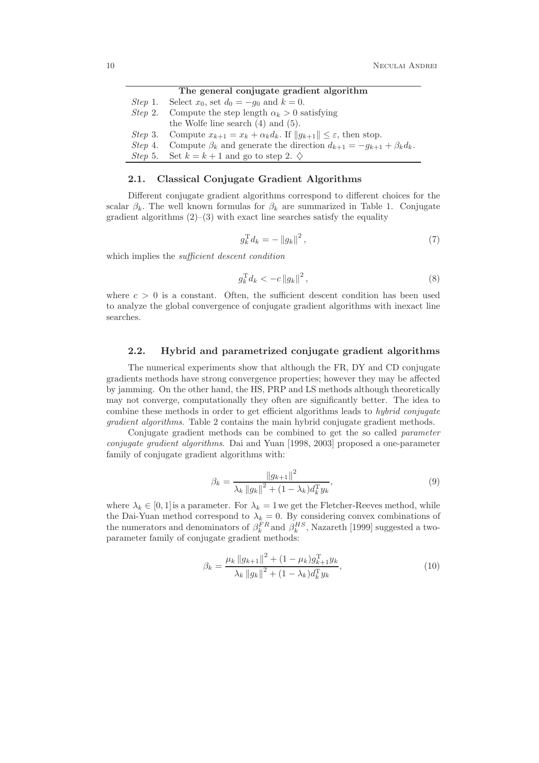|         | The general conjugate gradient algorithm                                                               |  |  |  |
|---------|--------------------------------------------------------------------------------------------------------|--|--|--|
|         | <i>Step</i> 1. Select $x_0$ , set $d_0 = -g_0$ and $k = 0$ .                                           |  |  |  |
| Step 2. | Compute the step length $\alpha_k > 0$ satisfying                                                      |  |  |  |
|         | the Wolfe line search $(4)$ and $(5)$ .                                                                |  |  |  |
|         | <i>Step</i> 3. Compute $x_{k+1} = x_k + \alpha_k d_k$ . If $  g_{k+1}   \leq \varepsilon$ , then stop. |  |  |  |
|         | Step 4. Compute $\beta_k$ and generate the direction $d_{k+1} = -g_{k+1} + \beta_k d_k$ .              |  |  |  |
|         | <i>Step</i> 5. Set $k = k + 1$ and go to step 2. $\diamondsuit$                                        |  |  |  |

#### 2.1. Classical Conjugate Gradient Algorithms

Different conjugate gradient algorithms correspond to different choices for the scalar  $\beta_k$ . The well known formulas for  $\beta_k$  are summarized in Table 1. Conjugate gradient algorithms  $(2)$ – $(3)$  with exact line searches satisfy the equality

$$
g_k^{\mathrm{T}} d_k = -\left\|g_k\right\|^2,\tag{7}
$$

which implies the *sufficient descent condition* 

$$
g_k^{\mathrm{T}} d_k < -c \|g_k\|^2 \,, \tag{8}
$$

where  $c > 0$  is a constant. Often, the sufficient descent condition has been used to analyze the global convergence of conjugate gradient algorithms with inexact line searches.

#### 2.2. Hybrid and parametrized conjugate gradient algorithms

The numerical experiments show that although the FR, DY and CD conjugate gradients methods have strong convergence properties; however they may be affected by jamming. On the other hand, the HS, PRP and LS methods although theoretically may not converge, computationally they often are significantly better. The idea to combine these methods in order to get efficient algorithms leads to hybrid conjugate gradient algorithms. Table 2 contains the main hybrid conjugate gradient methods.

Conjugate gradient methods can be combined to get the so called *parameter* conjugate gradient algorithms. Dai and Yuan [1998, 2003] proposed a one-parameter family of conjugate gradient algorithms with:

$$
\beta_k = \frac{\|g_{k+1}\|^2}{\lambda_k \|g_k\|^2 + (1 - \lambda_k) d_k^{\mathrm{T}} y_k},\tag{9}
$$

where  $\lambda_k \in [0,1]$  is a parameter. For  $\lambda_k = 1$  we get the Fletcher-Reeves method, while the Dai-Yuan method correspond to  $\lambda_k = 0$ . By considering convex combinations of the numerators and denominators of  $\beta_k^{FR}$  and  $\beta_k^{HS}$ , Nazareth [1999] suggested a twoparameter family of conjugate gradient methods:

$$
\beta_k = \frac{\mu_k \|g_{k+1}\|^2 + (1 - \mu_k)g_{k+1}^{\mathrm{T}} y_k}{\lambda_k \|g_k\|^2 + (1 - \lambda_k)d_k^{\mathrm{T}} y_k},\tag{10}
$$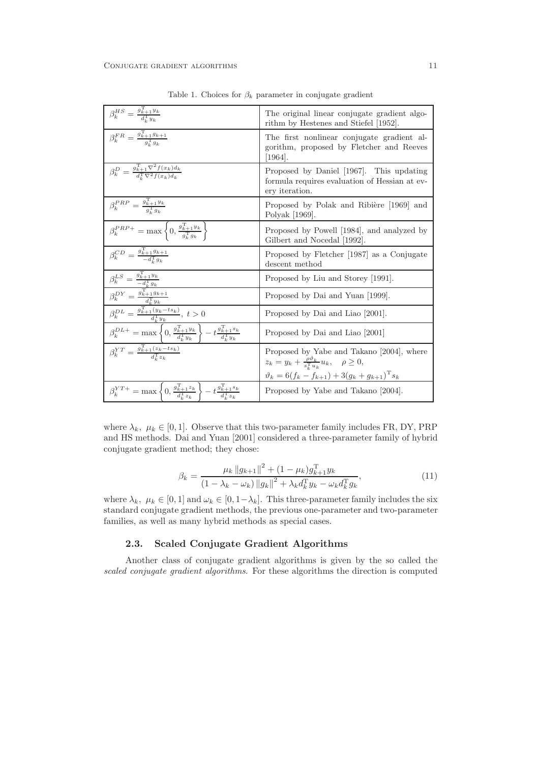| $\beta_k^{HS} = \frac{g_{k+1}^{\mathrm{T}}y_k}{d_{\mathrm{T}}^{\mathrm{T}}y_k}$                                                                                                                                               | The original linear conjugate gradient algo-<br>rithm by Hestenes and Stiefel [1952].                                                                                                   |
|-------------------------------------------------------------------------------------------------------------------------------------------------------------------------------------------------------------------------------|-----------------------------------------------------------------------------------------------------------------------------------------------------------------------------------------|
| $\beta_k^{FR} = \frac{g_{k+1}^{\mathrm{T}} g_{k+1}}{g_{1}^{\mathrm{T}} g_{k+1}}$                                                                                                                                              | The first nonlinear conjugate gradient al-<br>gorithm, proposed by Fletcher and Reeves<br>$ 1964 $ .                                                                                    |
| $\beta_k^D = \frac{g_{k+1}^{\mathrm{T}} \nabla^2 f(x_k) d_k}{d^{\mathrm{T}} \nabla^2 f(x_k) d_k}$                                                                                                                             | Proposed by Daniel [1967]. This updating<br>formula requires evaluation of Hessian at ev-<br>ery iteration.                                                                             |
| $\beta_k^{PRP} = \frac{g_{k+1}^{\mathrm{T}}y_k}{g_{k}^{\mathrm{T}}g_k}$                                                                                                                                                       | Proposed by Polak and Ribiere [1969] and<br>Polyak [1969].                                                                                                                              |
| $\beta_k^{PRP+} = \max \left\{ 0, \frac{g_{k+1}^{\mathrm{T}} y_k}{g_{k}^{\mathrm{T}} g_k} \right\}$                                                                                                                           | Proposed by Powell [1984], and analyzed by<br>Gilbert and Nocedal [1992].                                                                                                               |
| $\beta_k^{CD} = \frac{g_{k+1}^{\mathrm{T}} g_{k+1}}{-d^{\mathrm{T}} g_{k+1}}$                                                                                                                                                 | Proposed by Fletcher [1987] as a Conjugate<br>descent method                                                                                                                            |
| $\begin{array}{l} \beta _{k}^{LS}=\frac{g_{k+1}^{T}y_{k}}{-d_{k}^{T}g_{k}} \\ \beta _{k}^{DY}=\frac{g_{k+1}^{T}g_{k+1}}{d_{k}^{T}y_{k}} \end{array}$                                                                          | Proposed by Liu and Storey [1991].                                                                                                                                                      |
|                                                                                                                                                                                                                               | Proposed by Dai and Yuan [1999].                                                                                                                                                        |
| $\beta_k^{DL} = \frac{g_{k+1}^{\mathrm{T}}(y_k - ts_k)}{d_{\mathrm{T}}^{\mathrm{T}}y_k}, \ t > 0$                                                                                                                             | Proposed by Dai and Liao [2001].                                                                                                                                                        |
| $\beta^{{\scriptsize{DL+}}}_k = \max\left\{0, \tfrac{g^{\scriptsize{\texttt{T}}}_{k+1}y_k}{d^{\scriptsize{\texttt{T}}}_{k}y_k} \right\} - t \tfrac{g^{\scriptsize{\texttt{T}}}_{k+1}s_k}{d^{\scriptsize{\texttt{T}}}_{k}y_k}$ | Proposed by Dai and Liao [2001]                                                                                                                                                         |
| $\beta_k^{YT} = \frac{g_{k+1}^{T}(z_k - ts_k)}{d^T z_k}$                                                                                                                                                                      | Proposed by Yabe and Takano [2004], where<br>$z_k = y_k + \frac{\rho v_k}{s_{1}^{\mathrm{T}} u_k} u_k, \quad \rho \geq 0,$<br>$\vartheta_k = 6(f_k - f_{k+1}) + 3(g_k + g_{k+1})^T s_k$ |
| $\beta_k^{YT+} = \max \left\{ 0, \frac{g_{k+1}^{\mathrm{T}} z_k}{d_k^{\mathrm{T}} z_k} \right\} - t \frac{g_{k+1}^{\mathrm{T}} s_k}{d_k^{\mathrm{T}} z_k}$                                                                    | Proposed by Yabe and Takano [2004].                                                                                                                                                     |

Table 1. Choices for  $\beta_k$  parameter in conjugate gradient

where  $\lambda_k, \mu_k \in [0, 1]$ . Observe that this two-parameter family includes FR, DY, PRP and HS methods. Dai and Yuan [2001] considered a three-parameter family of hybrid conjugate gradient method; they chose:

$$
\beta_k = \frac{\mu_k \|g_{k+1}\|^2 + (1 - \mu_k)g_{k+1}^{\mathrm{T}} y_k}{(1 - \lambda_k - \omega_k) \|g_k\|^2 + \lambda_k d_k^{\mathrm{T}} y_k - \omega_k d_k^{\mathrm{T}} g_k},\tag{11}
$$

where  $\lambda_k, \mu_k \in [0,1]$  and  $\omega_k \in [0,1-\lambda_k]$ . This three-parameter family includes the six standard conjugate gradient methods, the previous one-parameter and two-parameter families, as well as many hybrid methods as special cases.

#### 2.3. Scaled Conjugate Gradient Algorithms

Another class of conjugate gradient algorithms is given by the so called the scaled conjugate gradient algorithms. For these algorithms the direction is computed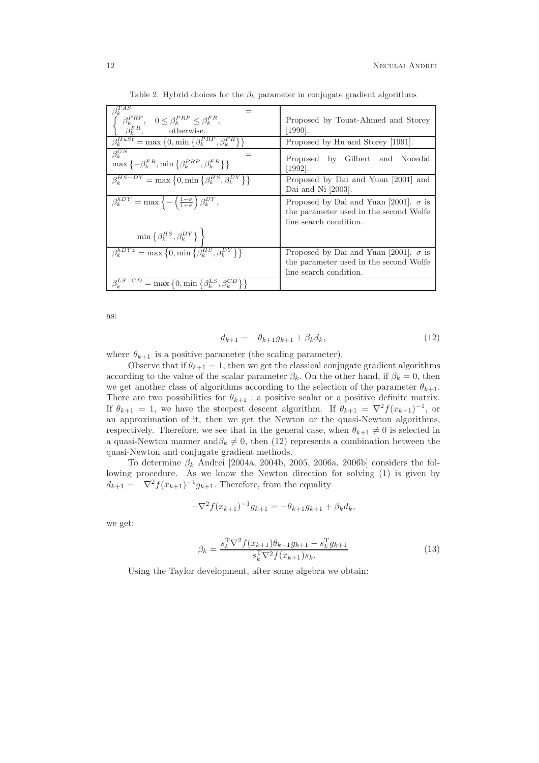| $\beta_k^{T\overline{AS}}$<br>$\left\{ \begin{array}{cc} \beta_k^{PRP}, & 0 \leq \beta_k^{PRP} \leq \beta_k^{FR}, \\ \beta_k^{FR}, & \text{otherwise}. \end{array} \right.$<br>$\overline{\beta_k^{HuSt}} = \max\left\{0, \min\left\{\beta_k^{PRP}, \beta_k^{FR}\right\}\right\}$ | Proposed by Touat-Ahmed and Storey<br>$[1990]$ .                                                                 |
|-----------------------------------------------------------------------------------------------------------------------------------------------------------------------------------------------------------------------------------------------------------------------------------|------------------------------------------------------------------------------------------------------------------|
|                                                                                                                                                                                                                                                                                   | Proposed by Hu and Storey [1991].                                                                                |
| $\beta_k^{GN}$<br>$\max\left\{-\beta_k^{FR}, \min\left\{\beta_k^{PRP}, \beta_k^{FR}\right\}\right\}$                                                                                                                                                                              | Proposed by Gilbert and Nocedal<br>$[1992]$ .                                                                    |
| $\beta_k^{HS-DY} = \max\left\{0, \min\left\{\beta_k^{HS}, \beta_k^{DY}\right\}\right\}$                                                                                                                                                                                           | Proposed by Dai and Yuan [2001] and<br>Dai and Ni $[2003]$ .                                                     |
| $\beta_k^{hDY} = \max \left\{-\left(\frac{1-\sigma}{1+\sigma}\right)\beta_k^{DY},\right\}$                                                                                                                                                                                        | Proposed by Dai and Yuan [2001]. $\sigma$ is<br>the parameter used in the second Wolfe<br>line search condition. |
| $\min\left\{\beta_k^{HS},\beta_k^{DY}\right\}\right\}$                                                                                                                                                                                                                            |                                                                                                                  |
| $\beta_k^{hDYz} = \max\left\{0, \min\left\{\beta_k^{H\overline{S}}, \beta_k^{DY}\right\}\right\}$                                                                                                                                                                                 | Proposed by Dai and Yuan [2001]. $\sigma$ is<br>the parameter used in the second Wolfe<br>line search condition. |
| $\beta_k^{LS-CD} = \max\left\{0, \min\left\{\beta_k^{LS}, \beta_k^{CD}\right\}\right\}$                                                                                                                                                                                           |                                                                                                                  |

Table 2. Hybrid choices for the  $\beta_k$  parameter in conjugate gradient algorithms

as:

$$
d_{k+1} = -\theta_{k+1} g_{k+1} + \beta_k d_k, \tag{12}
$$

where  $\theta_{k+1}$  is a positive parameter (the scaling parameter).

Observe that if  $\theta_{k+1} = 1$ , then we get the classical conjugate gradient algorithms according to the value of the scalar parameter  $\beta_k$ . On the other hand, if  $\beta_k = 0$ , then we get another class of algorithms according to the selection of the parameter  $\theta_{k+1}$ . There are two possibilities for  $\theta_{k+1}$ : a positive scalar or a positive definite matrix. If  $\theta_{k+1} = 1$ , we have the steepest descent algorithm. If  $\theta_{k+1} = \nabla^2 f(x_{k+1})^{-1}$ , or an approximation of it, then we get the Newton or the quasi-Newton algorithms, respectively. Therefore, we see that in the general case, when  $\theta_{k+1} \neq 0$  is selected in a quasi-Newton manner and  $\beta_k \neq 0$ , then (12) represents a combination between the quasi-Newton and conjugate gradient methods.

To determine  $\beta_k$  Andrei [2004a, 2004b, 2005, 2006a, 2006b] considers the following procedure. As we know the Newton direction for solving (1) is given by  $d_{k+1} = -\nabla^2 f(x_{k+1})^{-1} g_{k+1}$ . Therefore, from the equality

$$
-\nabla^2 f(x_{k+1})^{-1} g_{k+1} = -\theta_{k+1} g_{k+1} + \beta_k d_k,
$$

we get:

$$
\beta_k = \frac{s_k^{\mathrm{T}} \nabla^2 f(x_{k+1}) \theta_{k+1} g_{k+1} - s_k^{\mathrm{T}} g_{k+1}}{s_k^{\mathrm{T}} \nabla^2 f(x_{k+1}) s_k.}
$$
\n(13)

Using the Taylor development, after some algebra we obtain: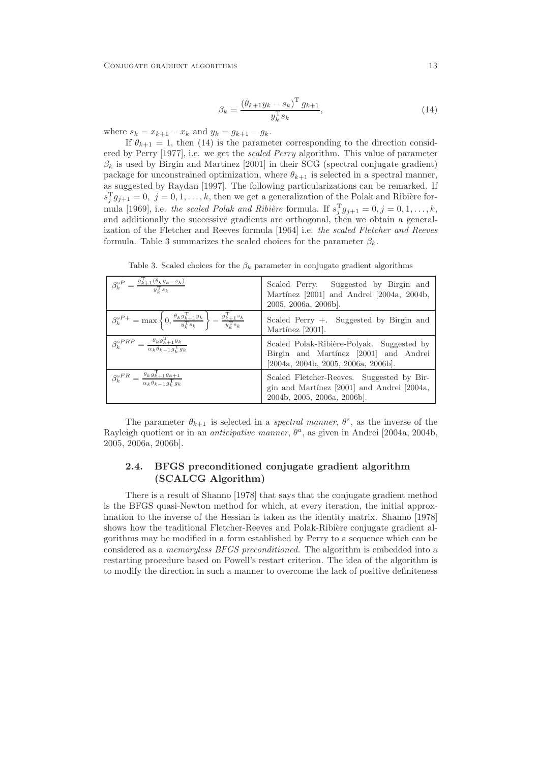$$
\beta_k = \frac{\left(\theta_{k+1} y_k - s_k\right)^{\mathrm{T}} g_{k+1}}{y_k^{\mathrm{T}} s_k},\tag{14}
$$

where  $s_k = x_{k+1} - x_k$  and  $y_k = g_{k+1} - g_k$ .

If  $\theta_{k+1} = 1$ , then (14) is the parameter corresponding to the direction considered by Perry [1977], i.e. we get the scaled Perry algorithm. This value of parameter  $\beta_k$  is used by Birgin and Martinez [2001] in their SCG (spectral conjugate gradient) package for unconstrained optimization, where  $\theta_{k+1}$  is selected in a spectral manner, as suggested by Raydan [1997]. The following particularizations can be remarked. If  $s_j^T g_{j+1} = 0, j = 0, 1, \ldots, k$ , then we get a generalization of the Polak and Ribière formula [1969], i.e. the scaled Polak and Ribière formula. If  $s_j^T g_{j+1} = 0, j = 0, 1, \ldots, k$ , and additionally the successive gradients are orthogonal, then we obtain a generalization of the Fletcher and Reeves formula [1964] i.e. the scaled Fletcher and Reeves formula. Table 3 summarizes the scaled choices for the parameter  $\beta_k$ .

| $\beta_k^{sP} = \frac{g_{k+1}^{\mathrm{T}}(\theta_k y_k - s_k)}{y_{k}^{\mathrm{T}} s_k}$                                                                          | Scaled Perry. Suggested by Birgin and<br>Martínez [2001] and Andrei [2004a, 2004b,<br>$2005, 2006a, 2006b$ .              |
|-------------------------------------------------------------------------------------------------------------------------------------------------------------------|---------------------------------------------------------------------------------------------------------------------------|
| $\beta_k^{sP+} = \max \left\{ 0, \frac{\theta_k g_{k+1}^{\mathrm{T}} y_k}{y_k^{\mathrm{T}} s_k} \right\} - \frac{g_{k+1}^{\mathrm{T}} s_k}{y_k^{\mathrm{T}} s_k}$ | Scaled Perry $+$ . Suggested by Birgin and<br>Martínez [2001].                                                            |
| $\beta_k^{sPRP} = \frac{\theta_k g_{k+1}^{\mathrm{T}} y_k}{\alpha_k \theta_{k-1} g_{k}^{\mathrm{T}} g_k}$                                                         | Scaled Polak-Ribière-Polyak. Suggested by<br>Birgin and Martínez [2001] and Andrei<br>[2004a, 2004b, 2005, 2006a, 2006b]. |
| $\beta_k^{sFR} = \frac{\theta_k g_{k+1}^{\mathrm{T}} g_{k+1}}{\alpha_k \theta_{k-1} g_{k}^{\mathrm{T}} g_k}$                                                      | Scaled Fletcher-Reeves. Suggested by Bir-<br>gin and Martínez [2001] and Andrei [2004a,<br>2004b, 2005, 2006a, 2006b].    |

Table 3. Scaled choices for the  $\beta_k$  parameter in conjugate gradient algorithms

The parameter  $\theta_{k+1}$  is selected in a *spectral manner*,  $\theta^s$ , as the inverse of the Rayleigh quotient or in an *anticipative manner*,  $\theta^a$ , as given in Andrei [2004a, 2004b, 2005, 2006a, 2006b].

## 2.4. BFGS preconditioned conjugate gradient algorithm (SCALCG Algorithm)

There is a result of Shanno [1978] that says that the conjugate gradient method is the BFGS quasi-Newton method for which, at every iteration, the initial approximation to the inverse of the Hessian is taken as the identity matrix. Shanno [1978] shows how the traditional Fletcher-Reeves and Polak-Ribière conjugate gradient algorithms may be modified in a form established by Perry to a sequence which can be considered as a memoryless BFGS preconditioned. The algorithm is embedded into a restarting procedure based on Powell's restart criterion. The idea of the algorithm is to modify the direction in such a manner to overcome the lack of positive definiteness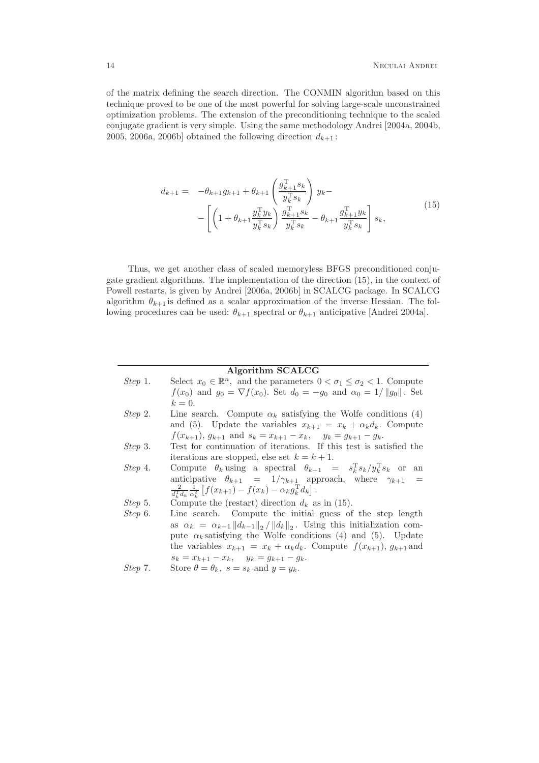of the matrix defining the search direction. The CONMIN algorithm based on this technique proved to be one of the most powerful for solving large-scale unconstrained optimization problems. The extension of the preconditioning technique to the scaled conjugate gradient is very simple. Using the same methodology Andrei [2004a, 2004b, 2005, 2006a, 2006b] obtained the following direction  $d_{k+1}$ :

$$
d_{k+1} = -\theta_{k+1} g_{k+1} + \theta_{k+1} \left( \frac{g_{k+1}^{\mathrm{T}} s_k}{y_k^{\mathrm{T}} s_k} \right) y_k -
$$
  
- 
$$
\left[ \left( 1 + \theta_{k+1} \frac{y_k^{\mathrm{T}} y_k}{y_k^{\mathrm{T}} s_k} \right) \frac{g_{k+1}^{\mathrm{T}} s_k}{y_k^{\mathrm{T}} s_k} - \theta_{k+1} \frac{g_{k+1}^{\mathrm{T}} y_k}{y_k^{\mathrm{T}} s_k} \right] s_k,
$$
(15)

Thus, we get another class of scaled memoryless BFGS preconditioned conjugate gradient algorithms. The implementation of the direction (15), in the context of Powell restarts, is given by Andrei [2006a, 2006b] in SCALCG package. In SCALCG algorithm  $\theta_{k+1}$  is defined as a scalar approximation of the inverse Hessian. The following procedures can be used:  $\theta_{k+1}$  spectral or  $\theta_{k+1}$  anticipative [Andrei 2004a].

#### Algorithm SCALCG

| Step 1. | Select $x_0 \in \mathbb{R}^n$ , and the parameters $0 < \sigma_1 \leq \sigma_2 < 1$ . Compute<br>$f(x_0)$ and $g_0 = \nabla f(x_0)$ . Set $d_0 = -g_0$ and $\alpha_0 = 1/  g_0  $ . Set<br>$k=0.$                                                                                                                                                                    |
|---------|----------------------------------------------------------------------------------------------------------------------------------------------------------------------------------------------------------------------------------------------------------------------------------------------------------------------------------------------------------------------|
| Step 2. | Line search. Compute $\alpha_k$ satisfying the Wolfe conditions (4)<br>and (5). Update the variables $x_{k+1} = x_k + \alpha_k d_k$ . Compute<br>$f(x_{k+1}), g_{k+1}$ and $s_k = x_{k+1} - x_k$ , $y_k = g_{k+1} - g_k$ .                                                                                                                                           |
| Step 3. | Test for continuation of iterations. If this test is satisfied the<br>iterations are stopped, else set $k = k + 1$ .                                                                                                                                                                                                                                                 |
| Step 4. | Compute $\theta_k$ using a spectral $\theta_{k+1} = s_k^T s_k / y_k^T s_k$ or an<br>anticipative $\theta_{k+1} = 1/\gamma_{k+1}$ approach, where $\gamma_{k+1}$<br>$\frac{2}{d^{\mathrm{T}}_1 d_k} \frac{1}{\alpha_k^2} \left[ f(x_{k+1}) - f(x_k) - \alpha_k g_k^{\mathrm{T}} d_k \right].$                                                                         |
| Step 5. | Compute the (restart) direction $d_k$ as in (15).                                                                                                                                                                                                                                                                                                                    |
| Step 6. | Line search. Compute the initial guess of the step length<br>as $\alpha_k = \alpha_{k-1}   d_{k-1}  _2 /   d_k  _2$ . Using this initialization com-<br>pute $\alpha_k$ satisfying the Wolfe conditions (4) and (5). Update<br>the variables $x_{k+1} = x_k + \alpha_k d_k$ . Compute $f(x_{k+1}), g_{k+1}$ and<br>$s_k = x_{k+1} - x_k, \quad y_k = g_{k+1} - g_k.$ |
| Step 7. | Store $\theta = \theta_k$ , $s = s_k$ and $y = y_k$ .                                                                                                                                                                                                                                                                                                                |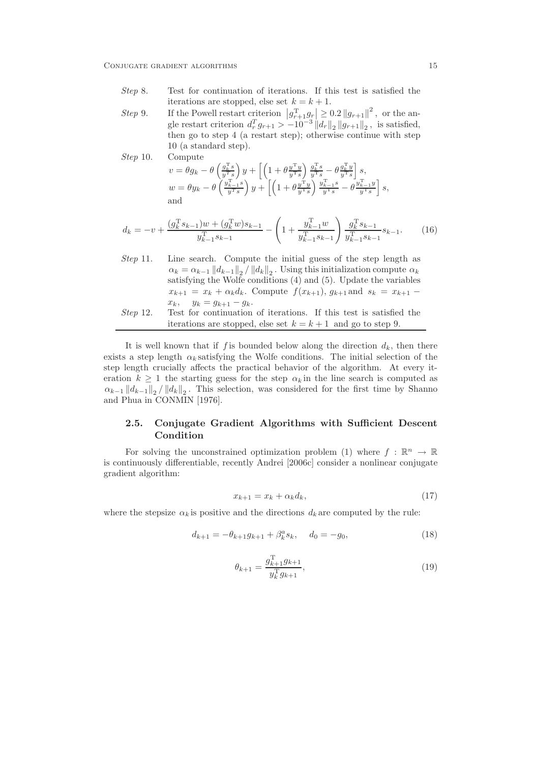$Step 10.$ 

- Step 8. Test for continuation of iterations. If this test is satisfied the iterations are stopped, else set  $k = k + 1$ .
- Step 9. If the Powell restart criterion  $|g_{r+1}^T g_r| \geq 0.2 ||g_{r+1}||^2$ , or the angle restart criterion  $d_r^T g_{r+1} > -10^{-3} ||\overline{d_r}||_2 ||g_{r+1}||_2$ , is satisfied, then go to step 4 (a restart step); otherwise continue with step 10 (a standard step).

$$
v = \theta g_k - \theta \left( \frac{g_k^{\mathrm{T}} s}{y^T s} \right) y + \left[ \left( 1 + \theta \frac{y^{\mathrm{T}} y}{y^{\mathrm{T}} s} \right) \frac{g_k^{\mathrm{T}} s}{y^{\mathrm{T}} s} - \theta \frac{g_k^{\mathrm{T}} y}{y^{\mathrm{T}} s} \right] s,
$$
  
\n
$$
w = \theta y_k - \theta \left( \frac{y_{k-1}^{\mathrm{T}} s}{y^{\mathrm{T}} s} \right) y + \left[ \left( 1 + \theta \frac{y^{\mathrm{T}} y}{y^{\mathrm{T}} s} \right) \frac{y_{k-1}^{\mathrm{T}} s}{y^{\mathrm{T}} s} - \theta \frac{y_{k-1}^{\mathrm{T}} y}{y^{\mathrm{T}} s} \right] s,
$$
  
\nand

$$
d_k = -v + \frac{(g_k^{\mathrm{T}} s_{k-1})w + (g_k^{\mathrm{T}} w)s_{k-1}}{y_{k-1}^{\mathrm{T}} s_{k-1}} - \left(1 + \frac{y_{k-1}^{\mathrm{T}} w}{y_{k-1}^{\mathrm{T}} s_{k-1}}\right) \frac{g_k^{\mathrm{T}} s_{k-1}}{y_{k-1}^{\mathrm{T}} s_{k-1}} s_{k-1}.
$$
 (16)

Step 11. Line search. Compute the initial guess of the step length as  $\alpha_k = \alpha_{k-1} ||d_{k-1}||_2 / ||d_k||_2$ . Using this initialization compute  $\alpha_k$ satisfying the Wolfe conditions (4) and (5). Update the variables  $x_{k+1} = x_k + \alpha_k d_k$ . Compute  $f(x_{k+1}), g_{k+1}$  and  $s_k = x_{k+1}$  $x_k$ ,  $y_k = g_{k+1} - g_k$ . Step 12. Test for continuation of iterations. If this test is satisfied the iterations are stopped, else set  $k = k + 1$  and go to step 9.

It is well known that if f is bounded below along the direction  $d_k$ , then there exists a step length  $\alpha_k$  satisfying the Wolfe conditions. The initial selection of the step length crucially affects the practical behavior of the algorithm. At every iteration  $k \geq 1$  the starting guess for the step  $\alpha_k$  in the line search is computed as  $\alpha_{k-1} ||d_{k-1}||_2 / ||d_k||_2$ . This selection, was considered for the first time by Shanno and Phua in CONMIN [1976].

## 2.5. Conjugate Gradient Algorithms with Sufficient Descent Condition

For solving the unconstrained optimization problem (1) where  $f : \mathbb{R}^n \to \mathbb{R}$ is continuously differentiable, recently Andrei [2006c] consider a nonlinear conjugate gradient algorithm:

$$
x_{k+1} = x_k + \alpha_k d_k, \tag{17}
$$

where the stepsize  $\alpha_k$  is positive and the directions  $d_k$  are computed by the rule:

$$
d_{k+1} = -\theta_{k+1}g_{k+1} + \beta_k^a s_k, \quad d_0 = -g_0,\tag{18}
$$

$$
\theta_{k+1} = \frac{g_{k+1}^{\mathrm{T}} g_{k+1}}{y_k^{\mathrm{T}} g_{k+1}},\tag{19}
$$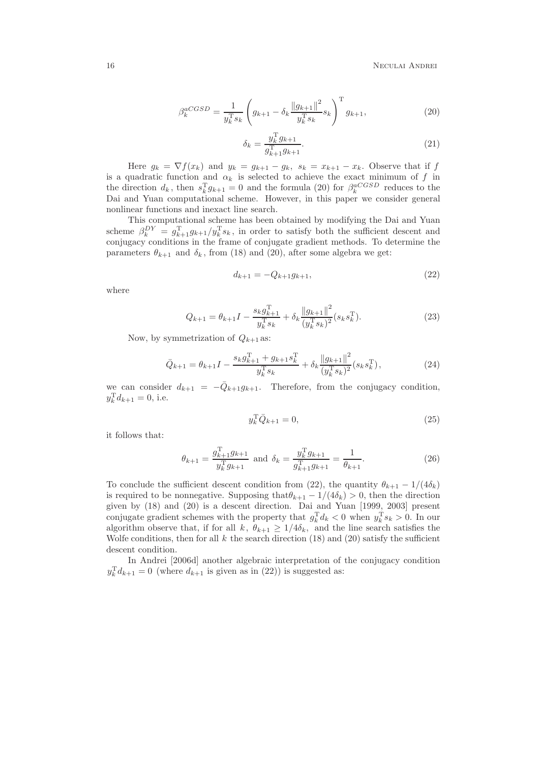$$
\beta_k^{aCGSD} = \frac{1}{y_k^{\mathrm{T}} s_k} \left( g_{k+1} - \delta_k \frac{\|g_{k+1}\|^2}{y_k^{\mathrm{T}} s_k} s_k \right)^{\mathrm{T}} g_{k+1},\tag{20}
$$

$$
\delta_k = \frac{y_k^T g_{k+1}}{g_{k+1}^T g_{k+1}}.
$$
\n(21)

Here  $g_k = \nabla f(x_k)$  and  $y_k = g_{k+1} - g_k$ ,  $s_k = x_{k+1} - x_k$ . Observe that if f is a quadratic function and  $\alpha_k$  is selected to achieve the exact minimum of f in the direction  $d_k$ , then  $s_k^T g_{k+1} = 0$  and the formula (20) for  $\beta_k^{aCGSD}$  reduces to the Dai and Yuan computational scheme. However, in this paper we consider general nonlinear functions and inexact line search.

This computational scheme has been obtained by modifying the Dai and Yuan scheme  $\beta_k^{DY} = g_{k+1}^T g_{k+1}/y_k^T s_k$ , in order to satisfy both the sufficient descent and conjugacy conditions in the frame of conjugate gradient methods. To determine the parameters  $\theta_{k+1}$  and  $\delta_k$ , from (18) and (20), after some algebra we get:

$$
d_{k+1} = -Q_{k+1}g_{k+1},\tag{22}
$$

where

$$
Q_{k+1} = \theta_{k+1}I - \frac{s_k g_{k+1}^{\mathrm{T}}}{y_k^{\mathrm{T}} s_k} + \delta_k \frac{\|g_{k+1}\|^2}{(y_k^{\mathrm{T}} s_k)^2} (s_k s_k^{\mathrm{T}}). \tag{23}
$$

Now, by symmetrization of  $Q_{k+1}$  as:

$$
\bar{Q}_{k+1} = \theta_{k+1}I - \frac{s_k g_{k+1}^{\mathrm{T}} + g_{k+1} s_k^{\mathrm{T}}}{y_k^{\mathrm{T}} s_k} + \delta_k \frac{\|g_{k+1}\|^2}{(y_k^{\mathrm{T}} s_k)^2} (s_k s_k^{\mathrm{T}}),\tag{24}
$$

we can consider  $d_{k+1} = -\overline{Q}_{k+1}g_{k+1}$ . Therefore, from the conjugacy condition,  $y_k^{\mathrm{T}}d_{k+1} = 0$ , i.e.

$$
y_k^{\mathrm{T}} \bar{Q}_{k+1} = 0,\tag{25}
$$

it follows that:

$$
\theta_{k+1} = \frac{g_{k+1}^{\mathrm{T}} g_{k+1}}{y_k^{\mathrm{T}} g_{k+1}} \text{ and } \delta_k = \frac{y_k^{\mathrm{T}} g_{k+1}}{g_{k+1}^{\mathrm{T}} g_{k+1}} = \frac{1}{\theta_{k+1}}.
$$
 (26)

To conclude the sufficient descent condition from (22), the quantity  $\theta_{k+1} - 1/(4\delta_k)$ is required to be nonnegative. Supposing that  $\theta_{k+1} - 1/(4\delta_k) > 0$ , then the direction given by (18) and (20) is a descent direction. Dai and Yuan [1999, 2003] present conjugate gradient schemes with the property that  $g_k^{\mathrm{T}} d_k < 0$  when  $y_k^{\mathrm{T}} s_k > 0$ . In our algorithm observe that, if for all k,  $\theta_{k+1} \geq 1/4\delta_k$ , and the line search satisfies the Wolfe conditions, then for all k the search direction (18) and (20) satisfy the sufficient descent condition.

In Andrei [2006d] another algebraic interpretation of the conjugacy condition  $y_k^{\mathrm{T}} d_{k+1} = 0$  (where  $d_{k+1}$  is given as in (22)) is suggested as: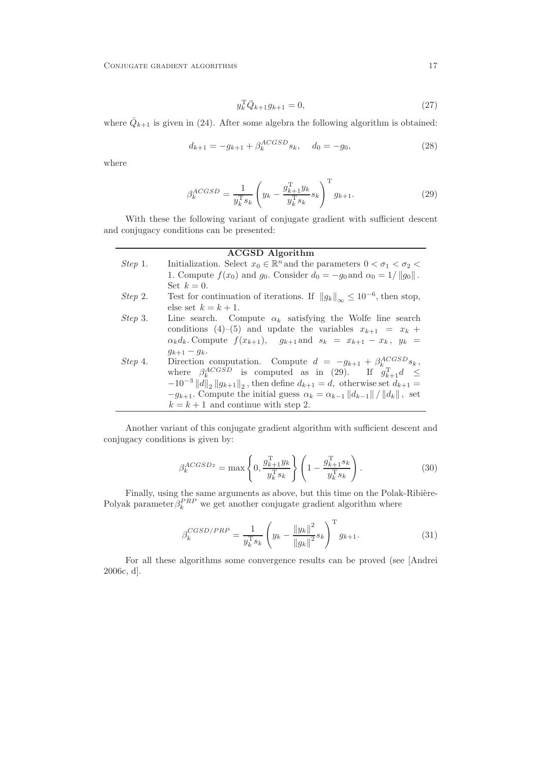$$
y_k^{\mathrm{T}} \bar{Q}_{k+1} g_{k+1} = 0,\tag{27}
$$

where  $\overline{Q}_{k+1}$  is given in (24). After some algebra the following algorithm is obtained:

$$
d_{k+1} = -g_{k+1} + \beta_k^{ACGSD} s_k, \quad d_0 = -g_0,
$$
\n(28)

where

$$
\beta_k^{ACGSD} = \frac{1}{y_k^{\mathrm{T}} s_k} \left( y_k - \frac{g_{k+1}^{\mathrm{T}} y_k}{y_k^{\mathrm{T}} s_k} s_k \right)^{\mathrm{T}} g_{k+1}.
$$
\n(29)

With these the following variant of conjugate gradient with sufficient descent and conjugacy conditions can be presented:

#### ACGSD Algorithm

| Step 1. | Initialization. Select $x_0 \in \mathbb{R}^n$ and the parameters $0 < \sigma_1 < \sigma_2 <$                             |
|---------|--------------------------------------------------------------------------------------------------------------------------|
|         | 1. Compute $f(x_0)$ and $g_0$ . Consider $d_0 = -g_0$ and $\alpha_0 = 1/  g_0  $ .                                       |
|         | Set $k=0$ .                                                                                                              |
| Step 2. | Test for continuation of iterations. If $  g_k  _{\infty} \leq 10^{-6}$ , then stop,                                     |
|         | else set $k = k + 1$ .                                                                                                   |
| Step 3. | Line search. Compute $\alpha_k$ satisfying the Wolfe line search                                                         |
|         | conditions (4)–(5) and update the variables $x_{k+1} = x_k +$                                                            |
|         | $\alpha_k d_k$ . Compute $f(x_{k+1}), g_{k+1}$ and $s_k = x_{k+1} - x_k, y_k =$                                          |
|         | $g_{k+1} - g_k$ .                                                                                                        |
| Step 4. | Direction computation. Compute $d = -g_{k+1} + \beta_k^{ACGSD} s_k$ ,                                                    |
|         | where $\beta_k^{ACGSD}$ is computed as in (29). If $g_{k+1}^T d \leq$                                                    |
|         | $-10^{-3}$   d   <sub>2</sub>   g <sub>k+1</sub>    <sub>2</sub> , then define $d_{k+1} = d$ , otherwise set $d_{k+1} =$ |
|         | $-g_{k+1}$ . Compute the initial guess $\alpha_k = \alpha_{k-1}   d_{k-1}   /   d_k  $ , set                             |
|         | $k = k + 1$ and continue with step 2.                                                                                    |

Another variant of this conjugate gradient algorithm with sufficient descent and conjugacy conditions is given by:

$$
\beta_k^{ACGSDz} = \max\left\{0, \frac{g_{k+1}^{\mathrm{T}} y_k}{y_k^{\mathrm{T}} s_k}\right\} \left(1 - \frac{g_{k+1}^{\mathrm{T}} s_k}{y_k^{\mathrm{T}} s_k}\right). \tag{30}
$$

Finally, using the same arguments as above, but this time on the Polak-Ribière-Polyak parameter  $\beta_k^{PRP}$  we get another conjugate gradient algorithm where

$$
\beta_k^{CGSD/PRP} = \frac{1}{y_k^{\mathrm{T}} s_k} \left( y_k - \frac{\|y_k\|^2}{\|g_k\|^2} s_k \right)^{\mathrm{T}} g_{k+1}.
$$
\n(31)

For all these algorithms some convergence results can be proved (see [Andrei 2006c, d].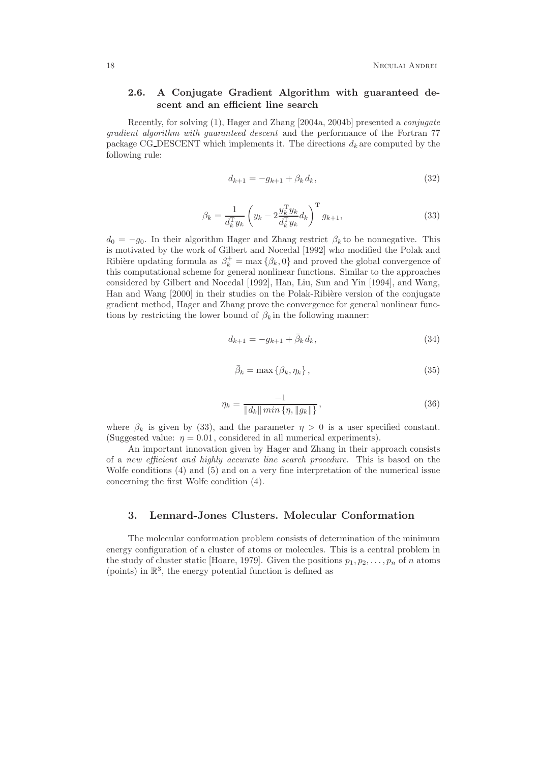### 2.6. A Conjugate Gradient Algorithm with guaranteed descent and an efficient line search

Recently, for solving (1), Hager and Zhang [2004a, 2004b] presented a conjugate gradient algorithm with guaranteed descent and the performance of the Fortran 77 package CG\_DESCENT which implements it. The directions  $d_k$  are computed by the following rule:

$$
d_{k+1} = -g_{k+1} + \beta_k d_k, \tag{32}
$$

$$
\beta_k = \frac{1}{d_k^{\mathrm{T}} y_k} \left( y_k - 2 \frac{y_k^{\mathrm{T}} y_k}{d_k^{\mathrm{T}} y_k} d_k \right)^{\mathrm{T}} g_{k+1},\tag{33}
$$

 $d_0 = -g_0$ . In their algorithm Hager and Zhang restrict  $\beta_k$  to be nonnegative. This is motivated by the work of Gilbert and Nocedal [1992] who modified the Polak and Ribière updating formula as  $\beta_k^+ = \max \{\beta_k, 0\}$  and proved the global convergence of this computational scheme for general nonlinear functions. Similar to the approaches considered by Gilbert and Nocedal [1992], Han, Liu, Sun and Yin [1994], and Wang, Han and Wang [2000] in their studies on the Polak-Ribière version of the conjugate gradient method, Hager and Zhang prove the convergence for general nonlinear functions by restricting the lower bound of  $\beta_k$  in the following manner:

$$
d_{k+1} = -g_{k+1} + \bar{\beta}_k d_k, \tag{34}
$$

$$
\bar{\beta}_k = \max\left\{\beta_k, \eta_k\right\},\tag{35}
$$

$$
\eta_k = \frac{-1}{\|d_k\| \min \{\eta, \|g_k\|\}},\tag{36}
$$

where  $\beta_k$  is given by (33), and the parameter  $\eta > 0$  is a user specified constant. (Suggested value:  $\eta = 0.01$ , considered in all numerical experiments).

An important innovation given by Hager and Zhang in their approach consists of a new efficient and highly accurate line search procedure. This is based on the Wolfe conditions (4) and (5) and on a very fine interpretation of the numerical issue concerning the first Wolfe condition (4).

#### 3. Lennard-Jones Clusters. Molecular Conformation

The molecular conformation problem consists of determination of the minimum energy configuration of a cluster of atoms or molecules. This is a central problem in the study of cluster static [Hoare, 1979]. Given the positions  $p_1, p_2, \ldots, p_n$  of n atoms (points) in  $\mathbb{R}^3$ , the energy potential function is defined as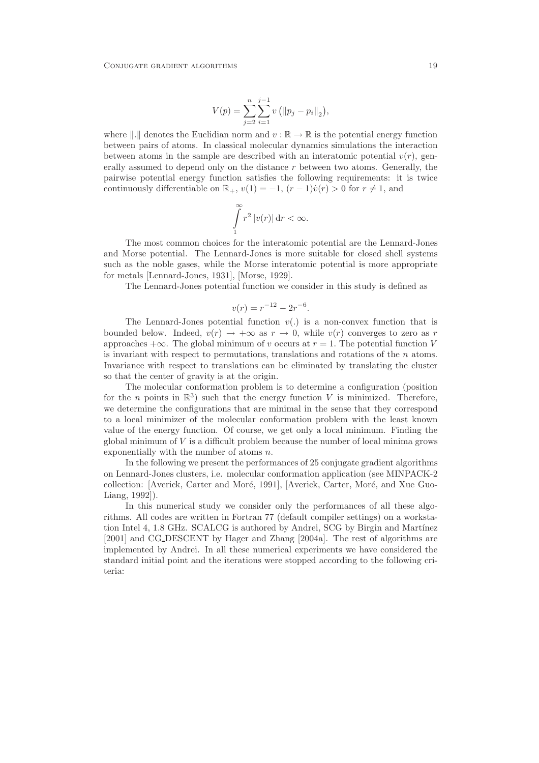$$
V(p) = \sum_{j=2}^{n} \sum_{i=1}^{j-1} v\left(\|p_j - p_i\|_2\right),\,
$$

where  $\Vert .\Vert$  denotes the Euclidian norm and  $v : \mathbb{R} \to \mathbb{R}$  is the potential energy function between pairs of atoms. In classical molecular dynamics simulations the interaction between atoms in the sample are described with an interatomic potential  $v(r)$ , generally assumed to depend only on the distance  $r$  between two atoms. Generally, the pairwise potential energy function satisfies the following requirements: it is twice continuously differentiable on  $\mathbb{R}_+$ ,  $v(1) = -1$ ,  $(r-1)\dot{v}(r) > 0$  for  $r \neq 1$ , and

$$
\int_{1}^{\infty} r^2 |v(r)| dr < \infty.
$$

The most common choices for the interatomic potential are the Lennard-Jones and Morse potential. The Lennard-Jones is more suitable for closed shell systems such as the noble gases, while the Morse interatomic potential is more appropriate for metals [Lennard-Jones, 1931], [Morse, 1929].

The Lennard-Jones potential function we consider in this study is defined as

$$
v(r) = r^{-12} - 2r^{-6}.
$$

The Lennard-Jones potential function  $v(.)$  is a non-convex function that is bounded below. Indeed,  $v(r) \rightarrow +\infty$  as  $r \rightarrow 0$ , while  $v(r)$  converges to zero as r approaches  $+\infty$ . The global minimum of v occurs at  $r = 1$ . The potential function V is invariant with respect to permutations, translations and rotations of the  $n$  atoms. Invariance with respect to translations can be eliminated by translating the cluster so that the center of gravity is at the origin.

The molecular conformation problem is to determine a configuration (position for the *n* points in  $\mathbb{R}^3$ ) such that the energy function V is minimized. Therefore, we determine the configurations that are minimal in the sense that they correspond to a local minimizer of the molecular conformation problem with the least known value of the energy function. Of course, we get only a local minimum. Finding the global minimum of  $V$  is a difficult problem because the number of local minima grows exponentially with the number of atoms n.

In the following we present the performances of 25 conjugate gradient algorithms on Lennard-Jones clusters, i.e. molecular conformation application (see MINPACK-2 collection: [Averick, Carter and Moré, 1991], [Averick, Carter, Moré, and Xue Guo-Liang, 1992]).

In this numerical study we consider only the performances of all these algorithms. All codes are written in Fortran 77 (default compiler settings) on a workstation Intel 4, 1.8 GHz. SCALCG is authored by Andrei, SCG by Birgin and Martínez [2001] and CG DESCENT by Hager and Zhang [2004a]. The rest of algorithms are implemented by Andrei. In all these numerical experiments we have considered the standard initial point and the iterations were stopped according to the following criteria: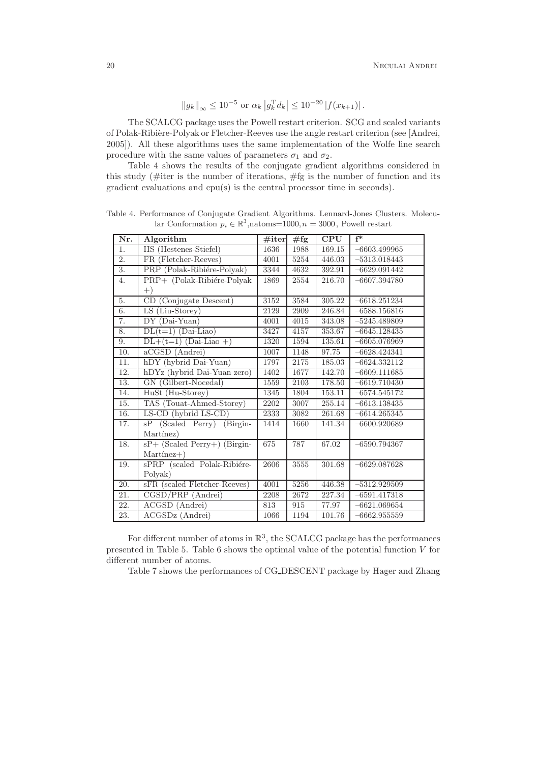$$
||g_k||_{\infty} \le 10^{-5}
$$
 or  $\alpha_k |g_k^{\mathrm{T}} d_k| \le 10^{-20} |f(x_{k+1})|$ .

The SCALCG package uses the Powell restart criterion. SCG and scaled variants of Polak-Ribière-Polyak or Fletcher-Reeves use the angle restart criterion (see [Andrei, 2005]). All these algorithms uses the same implementation of the Wolfe line search procedure with the same values of parameters  $\sigma_1$  and  $\sigma_2$ .

Table 4 shows the results of the conjugate gradient algorithms considered in this study (#iter is the number of iterations, #fg is the number of function and its gradient evaluations and cpu(s) is the central processor time in seconds).

| Nr.               | Algorithm                          | #iter | $\overline{\#}$ fg | <b>CPU</b> | $f^*$          |
|-------------------|------------------------------------|-------|--------------------|------------|----------------|
| $\overline{1}$ .  | HS (Hestenes-Stiefel)              | 1636  | 1988               | 169.15     | $-6603.499965$ |
| $\overline{2}$ .  | FR (Fletcher-Reeves)               | 4001  | 5254               | 446.03     | $-5313.018443$ |
| $\overline{3}$ .  | PRP (Polak-Ribiére-Polyak)         | 3344  | 4632               | 392.91     | $-6629.091442$ |
| 4.                | PRP+ (Polak-Ribiére-Polyak         | 1869  | 2554               | 216.70     | $-6607.394780$ |
|                   | $^{+)}$                            |       |                    |            |                |
| 5.                | CD (Conjugate Descent)             | 3152  | 3584               | 305.22     | $-6618.251234$ |
| 6.                | LS (Liu-Storey)                    | 2129  | 2909               | 246.84     | $-6588.156816$ |
| 7.                | $DY$ (Dai-Yuan)                    | 4001  | 4015               | 343.08     | $-5245.489809$ |
| 8.                | $DL(t=1)$ (Dai-Liao)               | 3427  | 4157               | 353.67     | $-6645.128435$ |
| 9.                | $DL+(t=1)$ (Dai-Liao +)            | 1320  | 1594               | 135.61     | $-6605.076969$ |
| 10.               | $\overline{\text{aCGSD}}$ (Andrei) | 1007  | 1148               | 97.75      | $-6628.424341$ |
| 11.               | hDY (hybrid Dai-Yuan)              | 1797  | 2175               | 185.03     | $-6624.332112$ |
| 12.               | hDYz (hybrid Dai-Yuan zero)        | 1402  | 1677               | 142.70     | $-6609.111685$ |
| 13.               | GN (Gilbert-Nocedal)               | 1559  | 2103               | 178.50     | $-6619.710430$ |
| 14.               | HuSt (Hu-Storey)                   | 1345  | 1804               | 153.11     | $-6574.545172$ |
| 15.               | TAS (Touat-Ahmed-Storey)           | 2202  | 3007               | 255.14     | $-6613.138435$ |
| 16.               | LS-CD (hybrid LS-CD)               | 2333  | 3082               | 261.68     | $-6614.265345$ |
| 17.               | sP (Scaled Perry) (Birgin-         | 1414  | 1660               | 141.34     | $-6600.920689$ |
|                   | Martínez)                          |       |                    |            |                |
| 18.               | $sP+$ (Scaled Perry+) (Birgin-     | 675   | 787                | 67.02      | $-6590.794367$ |
|                   | $Martinez+)$                       |       |                    |            |                |
| 19.               | sPRP (scaled Polak-Ribiére-        | 2606  | $3555\,$           | 301.68     | $-6629.087628$ |
|                   | Polyak)                            |       |                    |            |                |
| 20.               | sFR (scaled Fletcher-Reeves)       | 4001  | 5256               | 446.38     | $-5312.929509$ |
| 21.               | CGSD/PRP (Andrei)                  | 2208  | 2672               | 227.34     | $-6591.417318$ |
| $\overline{22}$ . | ACGSD (Andrei)                     | 813   | 915                | 77.97      | $-6621.069654$ |
| 23.               | ACGSDz (Andrei)                    | 1066  | 1194               | 101.76     | $-6662.955559$ |

Table 4. Performance of Conjugate Gradient Algorithms. Lennard-Jones Clusters. Molecular Conformation  $p_i \in \mathbb{R}^3$ , natoms=1000,  $n = 3000$ , Powell restart

For different number of atoms in  $\mathbb{R}^3$ , the SCALCG package has the performances presented in Table 5. Table 6 shows the optimal value of the potential function  $V$  for different number of atoms.

Table 7 shows the performances of CG DESCENT package by Hager and Zhang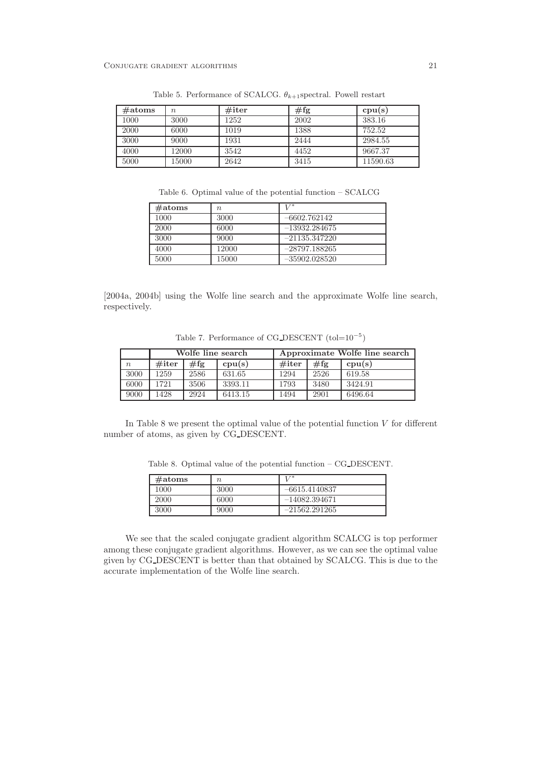| $\#atoms$ | $\it{n}$ | $\#$ iter | $\#\mathrm{fg}$ | cpu(s)   |
|-----------|----------|-----------|-----------------|----------|
| 1000      | 3000     | 1252      | 2002            | 383.16   |
| 2000      | 6000     | 1019      | 1388            | 752.52   |
| 3000      | 9000     | 1931      | 2444            | 2984.55  |
| 4000      | 12000    | 3542      | 4452            | 9667.37  |
| 5000      | 15000    | 2642      | 3415            | 11590.63 |

Table 5. Performance of SCALCG.  $\theta_{k+1}$ spectral. Powell restart

Table 6. Optimal value of the potential function – SCALCG

| $\#atoms$ | $n_{\rm c}$ | T / K           |
|-----------|-------------|-----------------|
| 1000      | 3000        | $-6602.762142$  |
| 2000      | 6000        | $-13932.284675$ |
| 3000      | 9000        | $-21135.347220$ |
| 4000      | 12000       | $-28797.188265$ |
| 5000      | 15000       | $-35902.028520$ |

[2004a, 2004b] using the Wolfe line search and the approximate Wolfe line search, respectively.

Table 7. Performance of  $CG\_DESCENT$   $(tol=10^{-5})$ 

|                  | Wolfe line search |      |         | Approximate Wolfe line search |      |         |
|------------------|-------------------|------|---------|-------------------------------|------|---------|
| $\boldsymbol{n}$ | $\#$ iter         | #fg  | cpu(s)  | $\#$ iter                     | #fg  | cpu(s)  |
| 3000             | 1259              | 2586 | 631.65  | 1294                          | 2526 | 619.58  |
| 6000             | 1721              | 3506 | 3393.11 | 1793                          | 3480 | 3424.91 |
| 9000             | 1428              | 2924 | 6413.15 | 1494                          | 2901 | 6496.64 |

In Table 8 we present the optimal value of the potential function  $V$  for different number of atoms, as given by CG DESCENT.

Table 8. Optimal value of the potential function – CG DESCENT.

| $\#atoms$ | n    | T / K           |
|-----------|------|-----------------|
| 1000      | 3000 | $-6615.4140837$ |
| 2000      | 6000 | $-14082.394671$ |
| 3000      | 9000 | $-21562.291265$ |

We see that the scaled conjugate gradient algorithm SCALCG is top performer among these conjugate gradient algorithms. However, as we can see the optimal value given by CG DESCENT is better than that obtained by SCALCG. This is due to the accurate implementation of the Wolfe line search.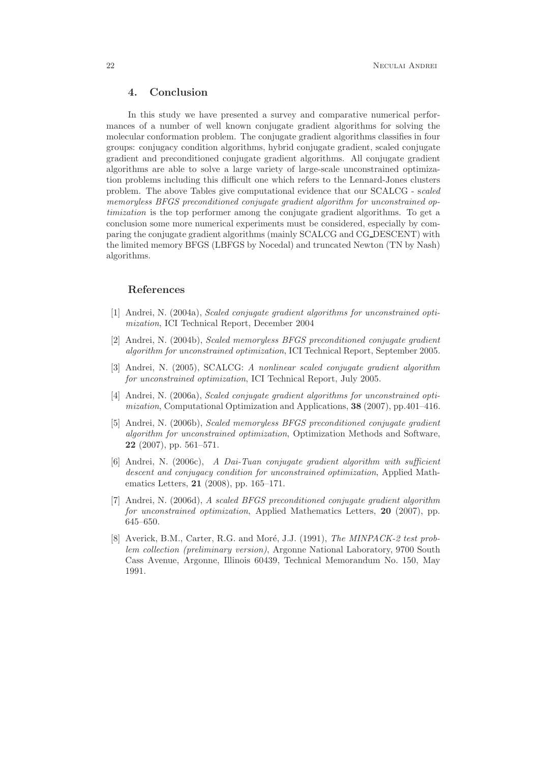## 4. Conclusion

In this study we have presented a survey and comparative numerical performances of a number of well known conjugate gradient algorithms for solving the molecular conformation problem. The conjugate gradient algorithms classifies in four groups: conjugacy condition algorithms, hybrid conjugate gradient, scaled conjugate gradient and preconditioned conjugate gradient algorithms. All conjugate gradient algorithms are able to solve a large variety of large-scale unconstrained optimization problems including this difficult one which refers to the Lennard-Jones clusters problem. The above Tables give computational evidence that our SCALCG - scaled memoryless BFGS preconditioned conjugate gradient algorithm for unconstrained optimization is the top performer among the conjugate gradient algorithms. To get a conclusion some more numerical experiments must be considered, especially by comparing the conjugate gradient algorithms (mainly SCALCG and CG DESCENT) with the limited memory BFGS (LBFGS by Nocedal) and truncated Newton (TN by Nash) algorithms.

#### References

- [1] Andrei, N. (2004a), Scaled conjugate gradient algorithms for unconstrained optimization, ICI Technical Report, December 2004
- [2] Andrei, N. (2004b), Scaled memoryless BFGS preconditioned conjugate gradient algorithm for unconstrained optimization, ICI Technical Report, September 2005.
- [3] Andrei, N. (2005), SCALCG: A nonlinear scaled conjugate gradient algorithm for unconstrained optimization, ICI Technical Report, July 2005.
- [4] Andrei, N. (2006a), Scaled conjugate gradient algorithms for unconstrained optimization, Computational Optimization and Applications, 38 (2007), pp.401–416.
- [5] Andrei, N. (2006b), Scaled memoryless BFGS preconditioned conjugate gradient algorithm for unconstrained optimization, Optimization Methods and Software, 22 (2007), pp. 561–571.
- [6] Andrei, N. (2006c), A Dai-Tuan conjugate gradient algorithm with sufficient descent and conjugacy condition for unconstrained optimization, Applied Mathematics Letters, 21 (2008), pp. 165–171.
- [7] Andrei, N. (2006d), A scaled BFGS preconditioned conjugate gradient algorithm for unconstrained optimization, Applied Mathematics Letters, 20 (2007), pp. 645–650.
- [8] Averick, B.M., Carter, R.G. and Moré, J.J. (1991), The MINPACK-2 test problem collection (preliminary version), Argonne National Laboratory, 9700 South Cass Avenue, Argonne, Illinois 60439, Technical Memorandum No. 150, May 1991.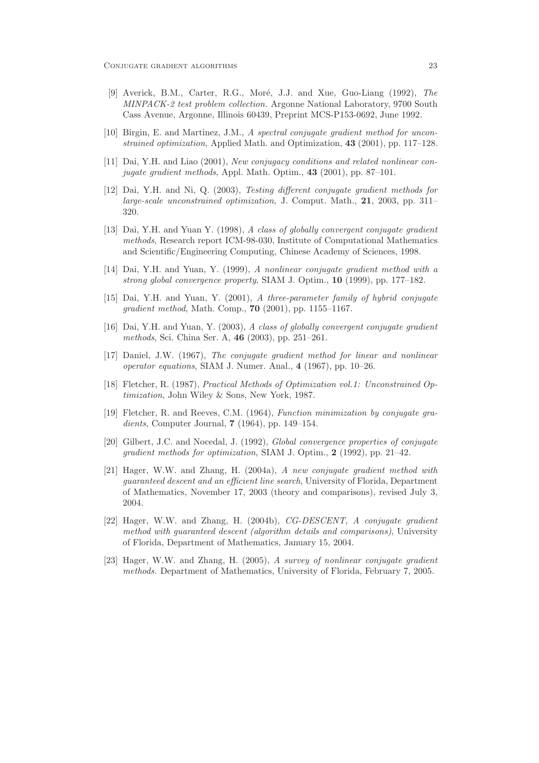- [9] Averick, B.M., Carter, R.G., Moré, J.J. and Xue, Guo-Liang (1992), The MINPACK-2 test problem collection. Argonne National Laboratory, 9700 South Cass Avenue, Argonne, Illinois 60439, Preprint MCS-P153-0692, June 1992.
- [10] Birgin, E. and Martinez, J.M., A spectral conjugate gradient method for unconstrained optimization, Applied Math. and Optimization, 43 (2001), pp. 117–128.
- [11] Dai, Y.H. and Liao (2001), New conjugacy conditions and related nonlinear conjugate gradient methods, Appl. Math. Optim., 43 (2001), pp. 87–101.
- [12] Dai, Y.H. and Ni, Q. (2003), Testing different conjugate gradient methods for large-scale unconstrained optimization, J. Comput. Math., 21, 2003, pp. 311– 320.
- [13] Dai, Y.H. and Yuan Y. (1998), A class of globally convergent conjugate gradient methods, Research report ICM-98-030, Institute of Computational Mathematics and Scientific/Engineering Computing, Chinese Academy of Sciences, 1998.
- [14] Dai, Y.H. and Yuan, Y. (1999), A nonlinear conjugate gradient method with a strong global convergence property, SIAM J. Optim., 10 (1999), pp. 177–182.
- [15] Dai, Y.H. and Yuan, Y. (2001), A three-parameter family of hybrid conjugate gradient method, Math. Comp., 70 (2001), pp. 1155–1167.
- [16] Dai, Y.H. and Yuan, Y. (2003), A class of globally convergent conjugate gradient methods, Sci. China Ser. A, 46 (2003), pp. 251–261.
- [17] Daniel, J.W. (1967), The conjugate gradient method for linear and nonlinear operator equations, SIAM J. Numer. Anal., 4 (1967), pp. 10–26.
- [18] Fletcher, R. (1987), Practical Methods of Optimization vol.1: Unconstrained Optimization, John Wiley & Sons, New York, 1987.
- [19] Fletcher, R. and Reeves, C.M. (1964), Function minimization by conjugate gradients, Computer Journal, 7 (1964), pp. 149–154.
- [20] Gilbert, J.C. and Nocedal, J. (1992), Global convergence properties of conjugate gradient methods for optimization, SIAM J. Optim., 2 (1992), pp. 21–42.
- [21] Hager, W.W. and Zhang, H. (2004a), A new conjugate gradient method with guaranteed descent and an efficient line search, University of Florida, Department of Mathematics, November 17, 2003 (theory and comparisons), revised July 3, 2004.
- [22] Hager, W.W. and Zhang, H. (2004b), CG-DESCENT, A conjugate gradient method with guaranteed descent (algorithm details and comparisons), University of Florida, Department of Mathematics, January 15, 2004.
- [23] Hager, W.W. and Zhang, H. (2005), A survey of nonlinear conjugate gradient methods. Department of Mathematics, University of Florida, February 7, 2005.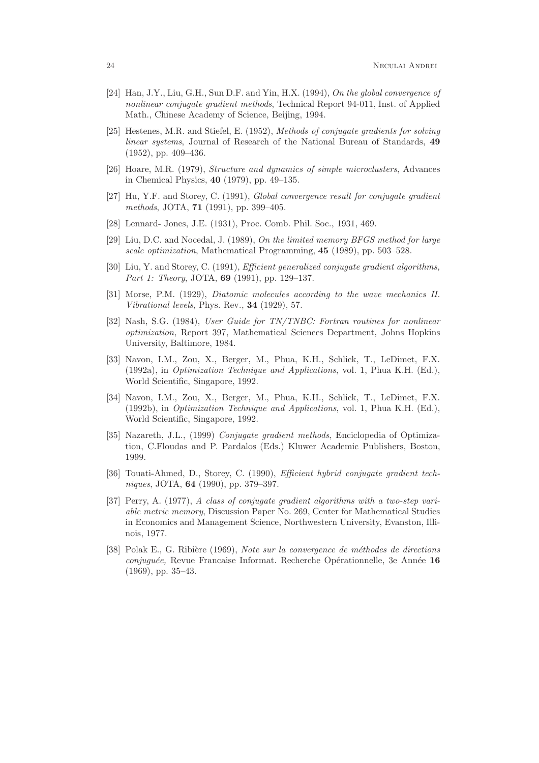- [24] Han, J.Y., Liu, G.H., Sun D.F. and Yin, H.X. (1994), On the global convergence of nonlinear conjugate gradient methods, Technical Report 94-011, Inst. of Applied Math., Chinese Academy of Science, Beijing, 1994.
- [25] Hestenes, M.R. and Stiefel, E. (1952), Methods of conjugate gradients for solving linear systems, Journal of Research of the National Bureau of Standards, 49 (1952), pp. 409–436.
- [26] Hoare, M.R. (1979), Structure and dynamics of simple microclusters, Advances in Chemical Physics, 40 (1979), pp. 49–135.
- [27] Hu, Y.F. and Storey, C. (1991), Global convergence result for conjugate gradient methods, JOTA, 71 (1991), pp. 399–405.
- [28] Lennard- Jones, J.E. (1931), Proc. Comb. Phil. Soc., 1931, 469.
- [29] Liu, D.C. and Nocedal, J. (1989), On the limited memory BFGS method for large scale optimization, Mathematical Programming, 45 (1989), pp. 503–528.
- [30] Liu, Y. and Storey, C. (1991), *Efficient generalized conjugate gradient algorithms*. Part 1: Theory, JOTA, 69 (1991), pp. 129-137.
- [31] Morse, P.M. (1929), Diatomic molecules according to the wave mechanics II. Vibrational levels, Phys. Rev., 34 (1929), 57.
- [32] Nash, S.G. (1984), User Guide for TN/TNBC: Fortran routines for nonlinear optimization, Report 397, Mathematical Sciences Department, Johns Hopkins University, Baltimore, 1984.
- [33] Navon, I.M., Zou, X., Berger, M., Phua, K.H., Schlick, T., LeDimet, F.X. (1992a), in Optimization Technique and Applications, vol. 1, Phua K.H. (Ed.), World Scientific, Singapore, 1992.
- [34] Navon, I.M., Zou, X., Berger, M., Phua, K.H., Schlick, T., LeDimet, F.X. (1992b), in Optimization Technique and Applications, vol. 1, Phua K.H. (Ed.), World Scientific, Singapore, 1992.
- [35] Nazareth, J.L., (1999) Conjugate gradient methods, Enciclopedia of Optimization, C.Floudas and P. Pardalos (Eds.) Kluwer Academic Publishers, Boston, 1999.
- [36] Touati-Ahmed, D., Storey, C. (1990), Efficient hybrid conjugate gradient techniques, JOTA, 64 (1990), pp. 379–397.
- [37] Perry, A. (1977), A class of conjugate gradient algorithms with a two-step variable metric memory, Discussion Paper No. 269, Center for Mathematical Studies in Economics and Management Science, Northwestern University, Evanston, Illinois, 1977.
- [38] Polak E., G. Ribière (1969), Note sur la convergence de méthodes de directions  $conjuguée$ , Revue Francaise Informat. Recherche Opérationnelle, 3e Année 16 (1969), pp. 35–43.